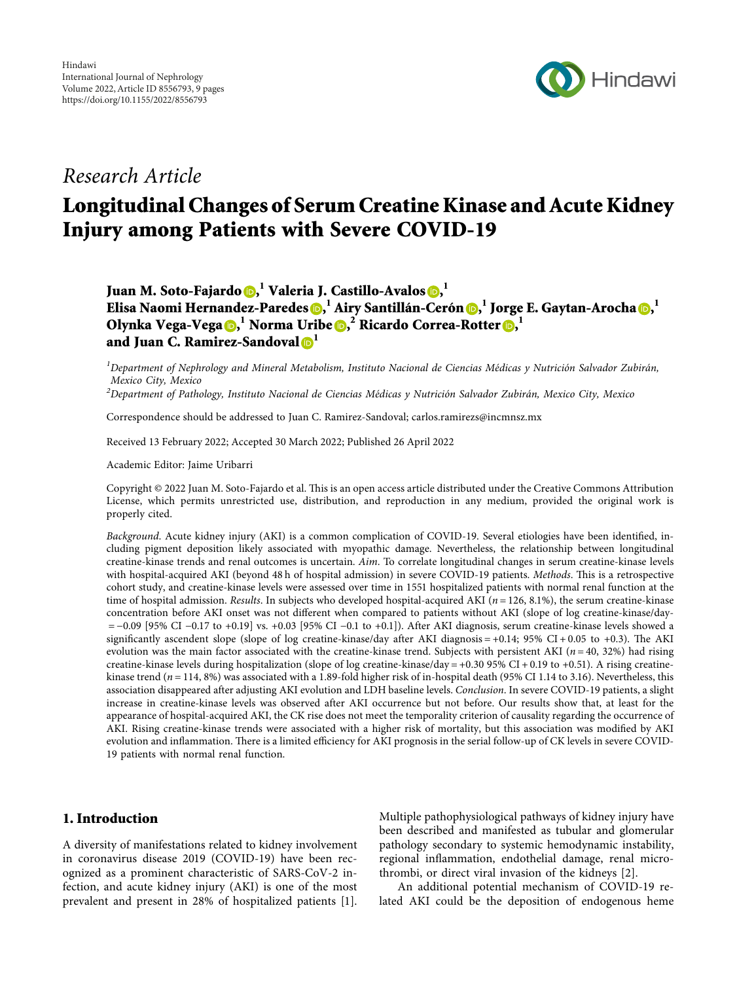

# Research Article

# Longitudinal Changes of Serum Creatine Kinase and Acute Kidney Injury among Patients with Severe COVID-19

Juan M. Soto-Fajardo <mark>()[,](https://orcid.org/0000-0003-0168-6895)</mark> <sup>l</sup> Valeria J. Castillo-Avalos (), <sup>l</sup>

Elisa Naomi Hernandez-Paredes (D[,](https://orcid.org/0000-0003-3429-6180)  $^{\rm l}$  Airy Santillán-Cerón (D,  $^{\rm l}$  Jorge E. Gaytan-Arocha (D,  $^{\rm l}$ Olynka Vega-Vega <mark>(b[,](https://orcid.org/0000-0003-0100-8285)</mark>  $^1$  Norma Uribe (b, $^2$  Ricardo Correa-Rotter (b,  $^1$ and Juan C. Ramirez-Sandoval  $\mathbf{D}^1$  $\mathbf{D}^1$ 

 $^{\rm I}$ Department of Nephrology and Mineral Metabolism, Instituto Nacional de Ciencias Médicas y Nutrición Salvador Zubirán, Mexico City, Mexico

 $^2$ Department of Pathology, Instituto Nacional de Ciencias Médicas y Nutrición Salvador Zubirán, Mexico City, Mexico

Correspondence should be addressed to Juan C. Ramirez-Sandoval; [carlos.ramirezs@incmnsz.mx](mailto:carlos.ramirezs@incmnsz.mx)

Received 13 February 2022; Accepted 30 March 2022; Published 26 April 2022

Academic Editor: Jaime Uribarri

Copyright © 2022 Juan M. Soto-Fajardo et al. This is an open access article distributed under the [Creative Commons Attribution](https://creativecommons.org/licenses/by/4.0/) [License,](https://creativecommons.org/licenses/by/4.0/) which permits unrestricted use, distribution, and reproduction in any medium, provided the original work is properly cited.

Background. Acute kidney injury (AKI) is a common complication of COVID-19. Several etiologies have been identified, including pigment deposition likely associated with myopathic damage. Nevertheless, the relationship between longitudinal creatine-kinase trends and renal outcomes is uncertain. Aim. To correlate longitudinal changes in serum creatine-kinase levels with hospital-acquired AKI (beyond 48 h of hospital admission) in severe COVID-19 patients. Methods. This is a retrospective cohort study, and creatine-kinase levels were assessed over time in 1551 hospitalized patients with normal renal function at the time of hospital admission. Results. In subjects who developed hospital-acquired AKI ( $n = 126, 8.1\%$ ), the serum creatine-kinase concentration before AKI onset was not different when compared to patients without AKI (slope of log creatine-kinase/day- −0.09 [95% CI −0.17 to +0.19] vs. +0.03 [95% CI −0.1 to +0.1]). After AKI diagnosis, serum creatine-kinase levels showed a significantly ascendent slope (slope of log creatine-kinase/day after AKI diagnosis  $= +0.14$ ; 95% CI + 0.05 to +0.3). The AKI evolution was the main factor associated with the creatine-kinase trend. Subjects with persistent AKI ( $n = 40$ , 32%) had rising creatine-kinase levels during hospitalization (slope of log creatine-kinase/day =  $+0.30$  95% CI + 0.19 to +0.51). A rising creatinekinase trend  $(n = 114, 8\%)$  was associated with a 1.89-fold higher risk of in-hospital death (95% CI 1.14 to 3.16). Nevertheless, this association disappeared after adjusting AKI evolution and LDH baseline levels. Conclusion. In severe COVID-19 patients, a slight increase in creatine-kinase levels was observed after AKI occurrence but not before. Our results show that, at least for the appearance of hospital-acquired AKI, the CK rise does not meet the temporality criterion of causality regarding the occurrence of AKI. Rising creatine-kinase trends were associated with a higher risk of mortality, but this association was modified by AKI evolution and inflammation. There is a limited efficiency for AKI prognosis in the serial follow-up of CK levels in severe COVID-19 patients with normal renal function.

# 1. Introduction

A diversity of manifestations related to kidney involvement in coronavirus disease 2019 (COVID-19) have been recognized as a prominent characteristic of SARS-CoV-2 infection, and acute kidney injury (AKI) is one of the most prevalent and present in 28% of hospitalized patients [\[1](#page-7-0)]. Multiple pathophysiological pathways of kidney injury have been described and manifested as tubular and glomerular pathology secondary to systemic hemodynamic instability, regional inflammation, endothelial damage, renal microthrombi, or direct viral invasion of the kidneys [\[2](#page-7-0)].

An additional potential mechanism of COVID-19 related AKI could be the deposition of endogenous heme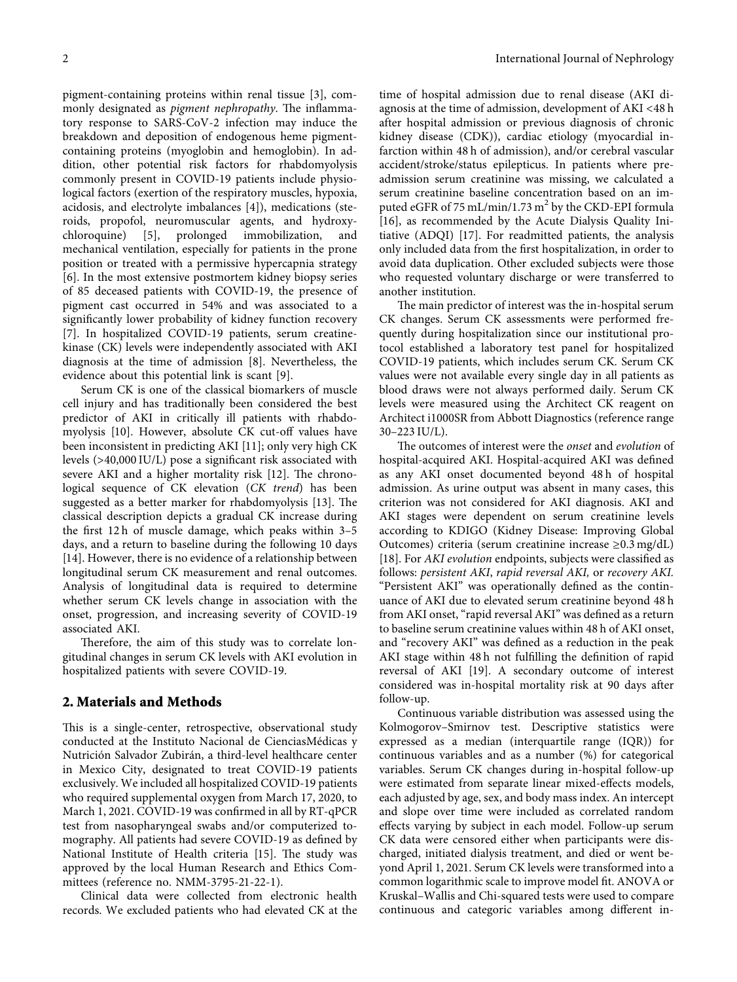pigment-containing proteins within renal tissue [[3](#page-7-0)], commonly designated as *pigment nephropathy*. The inflammatory response to SARS-CoV-2 infection may induce the breakdown and deposition of endogenous heme pigmentcontaining proteins (myoglobin and hemoglobin). In addition, other potential risk factors for rhabdomyolysis commonly present in COVID-19 patients include physiological factors (exertion of the respiratory muscles, hypoxia, acidosis, and electrolyte imbalances [\[4](#page-7-0)]), medications (steroids, propofol, neuromuscular agents, and hydroxy-<br>chloroquine) [5], prolonged immobilization, and [[5\]](#page-7-0), prolonged immobilization, and mechanical ventilation, especially for patients in the prone position or treated with a permissive hypercapnia strategy [\[6](#page-7-0)]. In the most extensive postmortem kidney biopsy series of 85 deceased patients with COVID-19, the presence of pigment cast occurred in 54% and was associated to a significantly lower probability of kidney function recovery [\[7](#page-7-0)]. In hospitalized COVID-19 patients, serum creatinekinase (CK) levels were independently associated with AKI diagnosis at the time of admission [[8\]](#page-7-0). Nevertheless, the evidence about this potential link is scant [\[9](#page-7-0)].

Serum CK is one of the classical biomarkers of muscle cell injury and has traditionally been considered the best predictor of AKI in critically ill patients with rhabdomyolysis [[10\]](#page-7-0). However, absolute CK cut-off values have been inconsistent in predicting AKI [\[11](#page-7-0)]; only very high CK levels (>40,000 IU/L) pose a significant risk associated with severe AKI and a higher mortality risk  $[12]$  $[12]$ . The chronological sequence of CK elevation (*CK trend*) has been suggested as a better marker for rhabdomyolysis [[13\]](#page-8-0). The classical description depicts a gradual CK increase during the first 12 h of muscle damage, which peaks within 3–5 days, and a return to baseline during the following 10 days [\[14](#page-8-0)]. However, there is no evidence of a relationship between longitudinal serum CK measurement and renal outcomes. Analysis of longitudinal data is required to determine whether serum CK levels change in association with the onset, progression, and increasing severity of COVID-19 associated AKI.

Therefore, the aim of this study was to correlate longitudinal changes in serum CK levels with AKI evolution in hospitalized patients with severe COVID-19.

#### **2. Materials and Methods**

This is a single-center, retrospective, observational study conducted at the Instituto Nacional de CienciasMedicas y ´ Nutrición Salvador Zubirán, a third-level healthcare center in Mexico City, designated to treat COVID-19 patients exclusively. We included all hospitalized COVID-19 patients who required supplemental oxygen from March 17, 2020, to March 1, 2021. COVID-19 was confirmed in all by RT-qPCR test from nasopharyngeal swabs and/or computerized tomography. All patients had severe COVID-19 as defined by National Institute of Health criteria [[15\]](#page-8-0). The study was approved by the local Human Research and Ethics Committees (reference no. NMM-3795-21-22-1).

Clinical data were collected from electronic health records. We excluded patients who had elevated CK at the

time of hospital admission due to renal disease (AKI diagnosis at the time of admission, development of AKI <48 h after hospital admission or previous diagnosis of chronic kidney disease (CDK)), cardiac etiology (myocardial infarction within 48 h of admission), and/or cerebral vascular accident/stroke/status epilepticus. In patients where preadmission serum creatinine was missing, we calculated a serum creatinine baseline concentration based on an imputed eGFR of 75 mL/min/1.73 m<sup>2</sup> by the CKD-EPI formula [\[16](#page-8-0)], as recommended by the Acute Dialysis Quality Initiative (ADQI) [\[17](#page-8-0)]. For readmitted patients, the analysis only included data from the first hospitalization, in order to avoid data duplication. Other excluded subjects were those who requested voluntary discharge or were transferred to another institution.

The main predictor of interest was the in-hospital serum CK changes. Serum CK assessments were performed frequently during hospitalization since our institutional protocol established a laboratory test panel for hospitalized COVID-19 patients, which includes serum CK. Serum CK values were not available every single day in all patients as blood draws were not always performed daily. Serum CK levels were measured using the Architect CK reagent on Architect i1000SR from Abbott Diagnostics (reference range 30–223 IU/L).

The outcomes of interest were the *onset* and *evolution* of hospital-acquired AKI. Hospital-acquired AKI was defined as any AKI onset documented beyond 48 h of hospital admission. As urine output was absent in many cases, this criterion was not considered for AKI diagnosis. AKI and AKI stages were dependent on serum creatinine levels according to KDIGO (Kidney Disease: Improving Global Outcomes) criteria (serum creatinine increase ≥0.3 mg/dL) [\[18](#page-8-0)]. For *AKI evolution* endpoints, subjects were classified as follows: *persistent AKI*, *rapid reversal AKI,* or *recovery AKI.* "Persistent AKI" was operationally defined as the continuance of AKI due to elevated serum creatinine beyond 48 h from AKI onset, "rapid reversal AKI" was defined as a return to baseline serum creatinine values within 48 h of AKI onset, and "recovery AKI" was defined as a reduction in the peak AKI stage within 48 h not fulfilling the definition of rapid reversal of AKI [\[19\]](#page-8-0). A secondary outcome of interest considered was in-hospital mortality risk at 90 days after follow-up.

Continuous variable distribution was assessed using the Kolmogorov–Smirnov test. Descriptive statistics were expressed as a median (interquartile range (IQR)) for continuous variables and as a number (%) for categorical variables. Serum CK changes during in-hospital follow-up were estimated from separate linear mixed-effects models, each adjusted by age, sex, and body mass index. An intercept and slope over time were included as correlated random effects varying by subject in each model. Follow-up serum CK data were censored either when participants were discharged, initiated dialysis treatment, and died or went beyond April 1, 2021. Serum CK levels were transformed into a common logarithmic scale to improve model fit. ANOVA or Kruskal–Wallis and Chi-squared tests were used to compare continuous and categoric variables among different in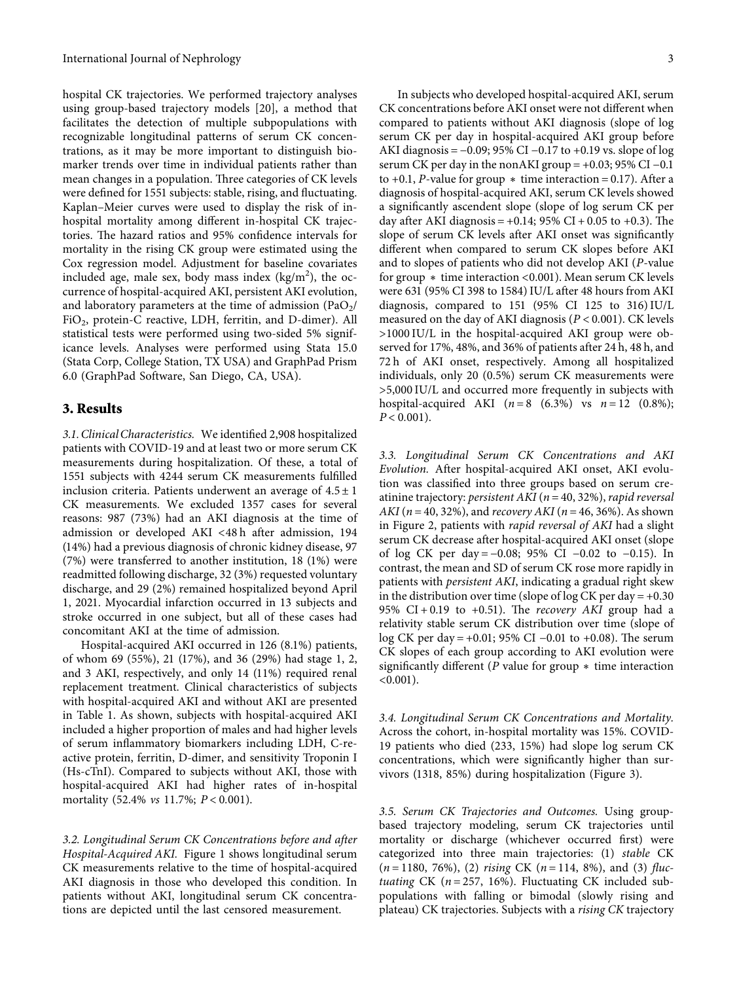hospital CK trajectories. We performed trajectory analyses using group-based trajectory models [\[20\]](#page-8-0), a method that facilitates the detection of multiple subpopulations with recognizable longitudinal patterns of serum CK concentrations, as it may be more important to distinguish biomarker trends over time in individual patients rather than mean changes in a population. Three categories of CK levels were defined for 1551 subjects: stable, rising, and fluctuating. Kaplan–Meier curves were used to display the risk of inhospital mortality among different in-hospital CK trajectories. The hazard ratios and 95% confidence intervals for mortality in the rising CK group were estimated using the Cox regression model. Adjustment for baseline covariates included age, male sex, body mass index  $(kg/m<sup>2</sup>)$ , the occurrence of hospital-acquired AKI, persistent AKI evolution, and laboratory parameters at the time of admission  $(PaO<sub>2</sub>/$ FiO2, protein-C reactive, LDH, ferritin, and D-dimer). All statistical tests were performed using two-sided 5% significance levels. Analyses were performed using Stata 15.0 (Stata Corp, College Station, TX USA) and GraphPad Prism 6.0 (GraphPad Software, San Diego, CA, USA).

#### **3. Results**

*3.1. Clinical Characteristics.* We identified 2,908 hospitalized patients with COVID-19 and at least two or more serum CK measurements during hospitalization. Of these, a total of 1551 subjects with 4244 serum CK measurements fulfilled inclusion criteria. Patients underwent an average of  $4.5 \pm 1$ CK measurements. We excluded 1357 cases for several reasons: 987 (73%) had an AKI diagnosis at the time of admission or developed AKI <48 h after admission, 194 (14%) had a previous diagnosis of chronic kidney disease, 97 (7%) were transferred to another institution, 18 (1%) were readmitted following discharge, 32 (3%) requested voluntary discharge, and 29 (2%) remained hospitalized beyond April 1, 2021. Myocardial infarction occurred in 13 subjects and stroke occurred in one subject, but all of these cases had concomitant AKI at the time of admission.

Hospital-acquired AKI occurred in 126 (8.1%) patients, of whom 69 (55%), 21 (17%), and 36 (29%) had stage 1, 2, and 3 AKI, respectively, and only 14 (11%) required renal replacement treatment. Clinical characteristics of subjects with hospital-acquired AKI and without AKI are presented in Table [1](#page-3-0). As shown, subjects with hospital-acquired AKI included a higher proportion of males and had higher levels of serum inflammatory biomarkers including LDH, C-reactive protein, ferritin, D-dimer, and sensitivity Troponin I (Hs-cTnI). Compared to subjects without AKI, those with hospital-acquired AKI had higher rates of in-hospital mortality (52.4% *vs* 11.7%; *P* < 0*.*001).

*3.2. Longitudinal Serum CK Concentrations before and after Hospital-Acquired AKI.* Figure [1](#page-3-0) shows longitudinal serum CK measurements relative to the time of hospital-acquired AKI diagnosis in those who developed this condition. In patients without AKI, longitudinal serum CK concentrations are depicted until the last censored measurement.

In subjects who developed hospital-acquired AKI, serum CK concentrations before AKI onset were not different when compared to patients without AKI diagnosis (slope of log serum CK per day in hospital-acquired AKI group before AKI diagnosis =  $-0.09$ ; 95% CI  $-0.17$  to  $+0.19$  vs. slope of log serum CK per day in the nonAKI group =  $+0.03$ ; 95% CI -0.1 to +0.1, *P*-value for group  $*$  time interaction = 0.17). After a diagnosis of hospital-acquired AKI, serum CK levels showed a significantly ascendent slope (slope of log serum CK per day after AKI diagnosis =  $+0.14$ ; 95% CI  $+0.05$  to  $+0.3$ ). The slope of serum CK levels after AKI onset was significantly different when compared to serum CK slopes before AKI and to slopes of patients who did not develop AKI (*P*-value for group ∗ time interaction <0.001). Mean serum CK levels were 631 (95% CI 398 to 1584) IU/L after 48 hours from AKI diagnosis, compared to 151 (95% CI 125 to 316) IU/L measured on the day of AKI diagnosis (*P* < 0*.*001). CK levels >1000 IU/L in the hospital-acquired AKI group were observed for 17%, 48%, and 36% of patients after 24 h, 48 h, and 72 h of AKI onset, respectively. Among all hospitalized individuals, only 20 (0.5%) serum CK measurements were >5,000 IU/L and occurred more frequently in subjects with hospital-acquired AKI  $(n = 8 \ (6.3\%)$  vs  $n = 12 \ (0.8\%)$ ;  $P < 0.001$ ).

*3.3. Longitudinal Serum CK Concentrations and AKI Evolution.* After hospital-acquired AKI onset, AKI evolution was classified into three groups based on serum creatinine trajectory: *persistent AKI* (*n* � 40, 32%), *rapid reversal AKI* ( $n = 40, 32\%$ ), and *recovery AKI* ( $n = 46, 36\%$ ). As shown in Figure [2,](#page-4-0) patients with *rapid reversal of AKI* had a slight serum CK decrease after hospital-acquired AKI onset (slope of log CK per day =  $-0.08$ ; 95% CI  $-0.02$  to  $-0.15$ ). In contrast, the mean and SD of serum CK rose more rapidly in patients with *persistent AKI*, indicating a gradual right skew in the distribution over time (slope of log CK per day  $= +0.30$ 95%  $CI + 0.19$  to  $+0.51$ ). The *recovery AKI* group had a relativity stable serum CK distribution over time (slope of log CK per day = +0.01; 95% CI –0.01 to +0.08). The serum CK slopes of each group according to AKI evolution were significantly different (*P* value for group ∗ time interaction  $< 0.001$ ).

*3.4. Longitudinal Serum CK Concentrations and Mortality.* Across the cohort, in-hospital mortality was 15%. COVID-19 patients who died (233, 15%) had slope log serum CK concentrations, which were significantly higher than survivors (1318, 85%) during hospitalization (Figure [3\)](#page-4-0).

*3.5. Serum CK Trajectories and Outcomes.* Using groupbased trajectory modeling, serum CK trajectories until mortality or discharge (whichever occurred first) were categorized into three main trajectories: (1) *stable* CK (*n* � 1180, 76%), (2) *rising* CK (*n* � 114, 8%), and (3) *fluctuating* CK ( $n = 257$ , 16%). Fluctuating CK included subpopulations with falling or bimodal (slowly rising and plateau) CK trajectories. Subjects with a *rising CK* trajectory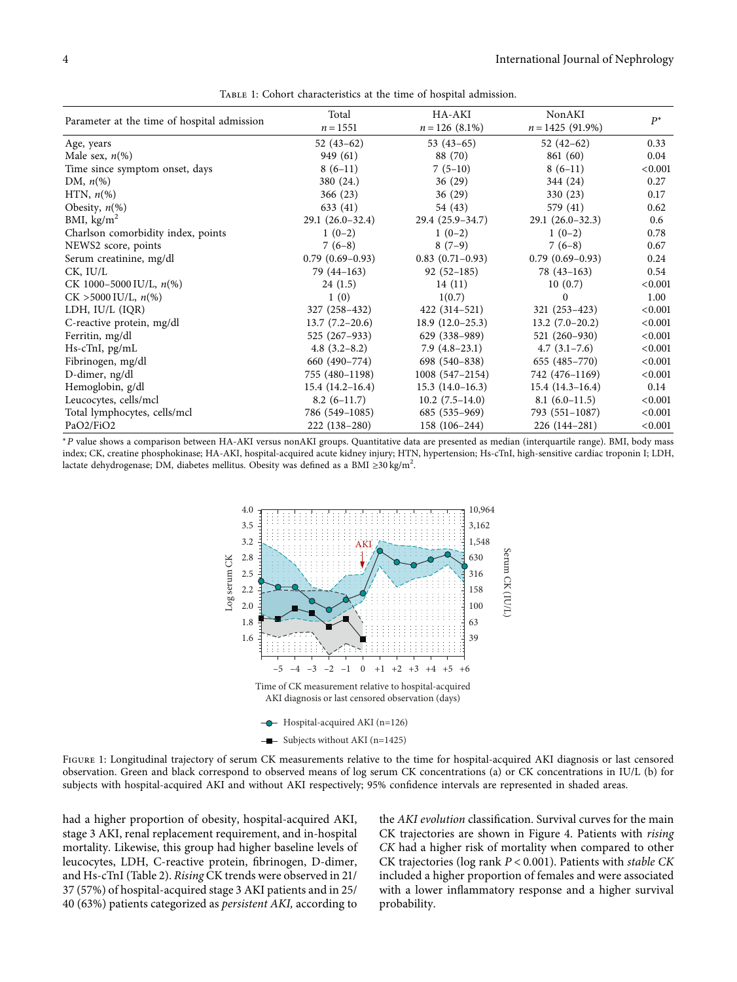<span id="page-3-0"></span>

| Parameter at the time of hospital admission | Total<br>$n = 1551$ | HA-AKI<br>$n = 126$ (8.1%) | NonAKI<br>$n = 1425(91.9\%)$ | $P^*$   |
|---------------------------------------------|---------------------|----------------------------|------------------------------|---------|
| Age, years                                  | $52(43-62)$         | $53(43-65)$                | $52(42-62)$                  | 0.33    |
| Male sex, $n\ll 0$                          | 949 (61)            | 88 (70)                    | 861 (60)                     | 0.04    |
| Time since symptom onset, days              | $8(6-11)$           | $7(5-10)$                  | $8(6-11)$                    | < 0.001 |
| DM, $n\llap/$                               | 380 (24.)           | 36(29)                     | 344 (24)                     | 0.27    |
| HTN, $n\left(\%\right)$                     | 366(23)             | 36(29)                     | 330 (23)                     | 0.17    |
| Obesity, $n\ll 0$                           | 633 (41)            | 54 (43)                    | 579 (41)                     | 0.62    |
| BMI, $\text{kg/m}^2$                        | $29.1(26.0-32.4)$   | $29.4(25.9-34.7)$          | $29.1(26.0-32.3)$            | 0.6     |
| Charlson comorbidity index, points          | $1(0-2)$            | $1(0-2)$                   | $1(0-2)$                     | 0.78    |
| NEWS2 score, points                         | $7(6-8)$            | $8(7-9)$                   | $7(6-8)$                     | 0.67    |
| Serum creatinine, mg/dl                     | $0.79(0.69-0.93)$   | $0.83(0.71-0.93)$          | $0.79(0.69-0.93)$            | 0.24    |
| CK, IU/L                                    | $79(44-163)$        | $92(52-185)$               | $78(43-163)$                 | 0.54    |
| CK 1000-5000 IU/L, $n\frac{6}{6}$           | 24(1.5)             | 14(11)                     | 10(0.7)                      | < 0.001 |
| $CK > 5000$ IU/L, $n\%$ )                   | 1(0)                | 1(0.7)                     | $\Omega$                     | 1.00    |
| LDH, IU/L (IQR)                             | 327 (258–432)       | $422(314-521)$             | $321(253-423)$               | < 0.001 |
| C-reactive protein, mg/dl                   | $13.7(7.2-20.6)$    | $18.9(12.0-25.3)$          | $13.2(7.0-20.2)$             | < 0.001 |
| Ferritin, mg/dl                             | 525 (267-933)       | 629 (338–989)              | 521 (260-930)                | < 0.001 |
| Hs-cTnI, pg/mL                              | $4.8(3.2 - 8.2)$    | $7.9(4.8-23.1)$            | $4.7(3.1-7.6)$               | < 0.001 |
| Fibrinogen, mg/dl                           | 660 (490-774)       | 698 (540-838)              | $655(485-770)$               | < 0.001 |
| D-dimer, ng/dl                              | 755 (480-1198)      | $1008(547-2154)$           | 742 (476-1169)               | < 0.001 |
| Hemoglobin, g/dl                            | $15.4(14.2 - 16.4)$ | $15.3(14.0-16.3)$          | $15.4(14.3-16.4)$            | 0.14    |
| Leucocytes, cells/mcl                       | $8.2(6-11.7)$       | $10.2(7.5-14.0)$           | $8.1(6.0-11.5)$              | < 0.001 |
| Total lymphocytes, cells/mcl                | 786 (549-1085)      | 685 (535–969)              | 793 (551-1087)               | < 0.001 |
| PaO2/FiO2                                   | 222 (138-280)       | 158 (106-244)              | 226 (144-281)                | < 0.001 |

Table 1: Cohort characteristics at the time of hospital admission.

<sup>∗</sup>*P* value shows a comparison between HA-AKI versus nonAKI groups. Quantitative data are presented as median (interquartile range). BMI, body mass index; CK, creatine phosphokinase; HA-AKI, hospital-acquired acute kidney injury; HTN, hypertension; Hs-cTnI, high-sensitive cardiac troponin I; LDH, lactate dehydrogenase; DM, diabetes mellitus. Obesity was defined as a BMI ≥30 kg/m<sup>2</sup>.



Figure 1: Longitudinal trajectory of serum CK measurements relative to the time for hospital-acquired AKI diagnosis or last censored observation. Green and black correspond to observed means of log serum CK concentrations (a) or CK concentrations in IU/L (b) for subjects with hospital-acquired AKI and without AKI respectively; 95% confidence intervals are represented in shaded areas.

had a higher proportion of obesity, hospital-acquired AKI, stage 3 AKI, renal replacement requirement, and in-hospital mortality. Likewise, this group had higher baseline levels of leucocytes, LDH, C-reactive protein, fibrinogen, D-dimer, and Hs-cTnI (Table [2](#page-5-0)). *Rising* CK trends were observed in 21/ 37 (57%) of hospital-acquired stage 3 AKI patients and in 25/ 40 (63%) patients categorized as *persistent AKI,* according to

the *AKI evolution* classification. Survival curves for the main CK trajectories are shown in Figure [4.](#page-5-0) Patients with *rising CK* had a higher risk of mortality when compared to other CK trajectories (log rank *P* < 0*.*001). Patients with *stable CK* included a higher proportion of females and were associated with a lower inflammatory response and a higher survival probability.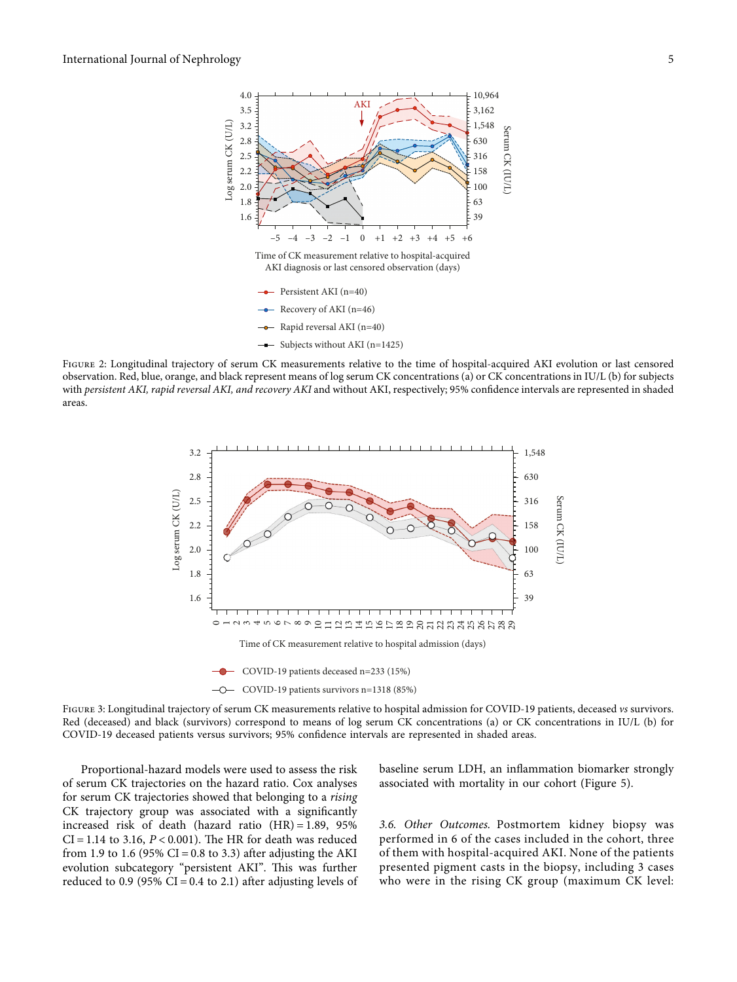<span id="page-4-0"></span>

Figure 2: Longitudinal trajectory of serum CK measurements relative to the time of hospital-acquired AKI evolution or last censored observation. Red, blue, orange, and black represent means of log serum CK concentrations (a) or CK concentrations in IU/L (b) for subjects with *persistent AKI, rapid reversal AKI, and recovery AKI* and without AKI, respectively; 95% confidence intervals are represented in shaded areas.



COVID-19 patients deceased n=233 (15%)

COVID-19 patients survivors n=1318 (85%)

Figure 3: Longitudinal trajectory of serum CK measurements relative to hospital admission for COVID-19 patients, deceased *vs* survivors. Red (deceased) and black (survivors) correspond to means of log serum CK concentrations (a) or CK concentrations in IU/L (b) for COVID-19 deceased patients versus survivors; 95% confidence intervals are represented in shaded areas.

Proportional-hazard models were used to assess the risk of serum CK trajectories on the hazard ratio. Cox analyses for serum CK trajectories showed that belonging to a *rising* CK trajectory group was associated with a significantly increased risk of death (hazard ratio  $(HR) = 1.89$ , 95%  $CI = 1.14$  to 3.16,  $P < 0.001$ ). The HR for death was reduced from 1.9 to 1.6 (95% CI = 0.8 to 3.3) after adjusting the AKI evolution subcategory "persistent AKI". This was further reduced to 0.9 (95% CI = 0.4 to 2.1) after adjusting levels of

baseline serum LDH, an inflammation biomarker strongly associated with mortality in our cohort (Figure [5](#page-6-0)).

*3.6. Other Outcomes.* Postmortem kidney biopsy was performed in 6 of the cases included in the cohort, three of them with hospital-acquired AKI. None of the patients presented pigment casts in the biopsy, including 3 cases who were in the rising CK group (maximum CK level: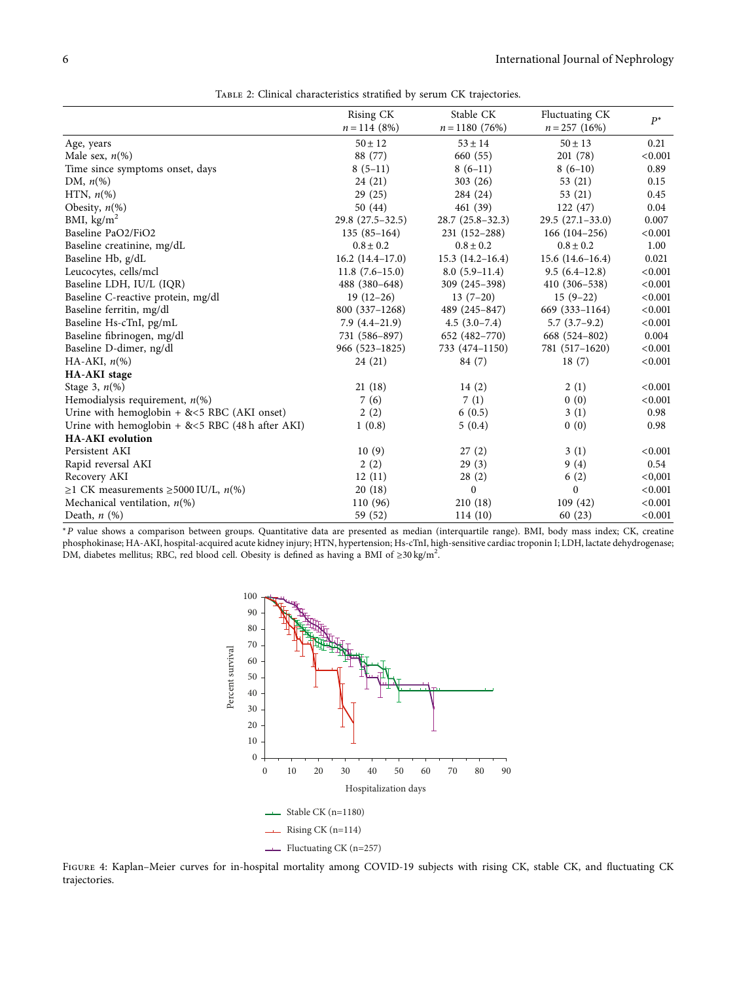<span id="page-5-0"></span>

|                                                     | Rising CK<br>$n = 114(8%)$ | Stable CK<br>$n = 1180(76%)$ | Fluctuating CK<br>$n = 257$ (16%) | $P^*$   |
|-----------------------------------------------------|----------------------------|------------------------------|-----------------------------------|---------|
| Age, years                                          | $50 \pm 12$                | $53 \pm 14$                  | $50 \pm 13$                       | 0.21    |
| Male sex, $n\ll 0$                                  | 88 (77)                    | 660 (55)                     | 201(78)                           | < 0.001 |
| Time since symptoms onset, days                     | $8(5-11)$                  | $8(6-11)$                    | $8(6-10)$                         | 0.89    |
| DM, $n\llap/$                                       | 24 (21)                    | 303(26)                      | 53(21)                            | 0.15    |
| HTN, $n\llap/$                                      | 29(25)                     | 284 (24)                     | 53 (21)                           | 0.45    |
| Obesity, $n\ll 0$                                   | 50 (44)                    | 461 (39)                     | 122(47)                           | 0.04    |
| BMI, $\text{kg/m}^2$                                | $29.8(27.5-32.5)$          | $28.7(25.8-32.3)$            | $29.5(27.1-33.0)$                 | 0.007   |
| Baseline PaO2/FiO2                                  | $135(85-164)$              | 231 (152-288)                | $166(104-256)$                    | < 0.001 |
| Baseline creatinine, mg/dL                          | $0.8 \pm 0.2$              | $0.8 \pm 0.2$                | $0.8 \pm 0.2$                     | 1.00    |
| Baseline Hb, g/dL                                   | $16.2(14.4-17.0)$          | $15.3(14.2 - 16.4)$          | $15.6(14.6-16.4)$                 | 0.021   |
| Leucocytes, cells/mcl                               | $11.8(7.6-15.0)$           | $8.0(5.9-11.4)$              | $9.5(6.4-12.8)$                   | < 0.001 |
| Baseline LDH, IU/L (IQR)                            | 488 (380-648)              | 309 (245-398)                | 410 (306–538)                     | < 0.001 |
| Baseline C-reactive protein, mg/dl                  | $19(12-26)$                | $13(7-20)$                   | $15(9-22)$                        | < 0.001 |
| Baseline ferritin, mg/dl                            | 800 (337-1268)             | 489 (245-847)                | 669 (333-1164)                    | < 0.001 |
| Baseline Hs-cTnI, pg/mL                             | $7.9(4.4-21.9)$            | $4.5(3.0-7.4)$               | $5.7(3.7-9.2)$                    | < 0.001 |
| Baseline fibrinogen, mg/dl                          | 731 (586-897)              | 652 (482-770)                | 668 (524-802)                     | 0.004   |
| Baseline D-dimer, ng/dl                             | 966 (523-1825)             | 733 (474-1150)               | 781 (517-1620)                    | < 0.001 |
| HA-AKI, $n\llap{$\binom{0}{0}$}$                    | 24(21)                     | 84 (7)                       | 18(7)                             | < 0.001 |
| <b>HA-AKI</b> stage                                 |                            |                              |                                   |         |
| Stage 3, $n\left(\%\right)$                         | 21(18)                     | 14(2)                        | 2(1)                              | < 0.001 |
| Hemodialysis requirement, $n(\%)$                   | 7(6)                       | 7(1)                         | 0(0)                              | < 0.001 |
| Urine with hemoglobin $+$ & <5 RBC (AKI onset)      | 2(2)                       | 6(0.5)                       | 3(1)                              | 0.98    |
| Urine with hemoglobin $+$ & <5 RBC (48 h after AKI) | 1(0.8)                     | 5(0.4)                       | 0(0)                              | 0.98    |
| <b>HA-AKI</b> evolution                             |                            |                              |                                   |         |
| Persistent AKI                                      | 10(9)                      | 27(2)                        | 3(1)                              | < 0.001 |
| Rapid reversal AKI                                  | 2(2)                       | 29(3)                        | 9(4)                              | 0.54    |
| Recovery AKI                                        | 12(11)                     | 28(2)                        | 6(2)                              | < 0,001 |
| ≥1 CK measurements ≥5000 IU/L, $n$ (%)              | 20(18)                     | $\mathbf{0}$                 | $\Omega$                          | < 0.001 |
| Mechanical ventilation, $n$ <sup>(%)</sup>          | 110 (96)                   | 210(18)                      | 109(42)                           | < 0.001 |
| Death, $n$ $(\%)$                                   | 59 (52)                    | 114(10)                      | 60(23)                            | < 0.001 |

<sup>∗</sup>*P* value shows a comparison between groups. Quantitative data are presented as median (interquartile range). BMI, body mass index; CK, creatine phosphokinase; HA-AKI, hospital-acquired acute kidney injury; HTN, hypertension; Hs-cTnI, high-sensitive cardiac troponin I; LDH, lactate dehydrogenase:<br>DM, diabetes mellitus; RBC, red blood cell. Obesity is defined as ha



Figure 4: Kaplan–Meier curves for in-hospital mortality among COVID-19 subjects with rising CK, stable CK, and fluctuating CK trajectories.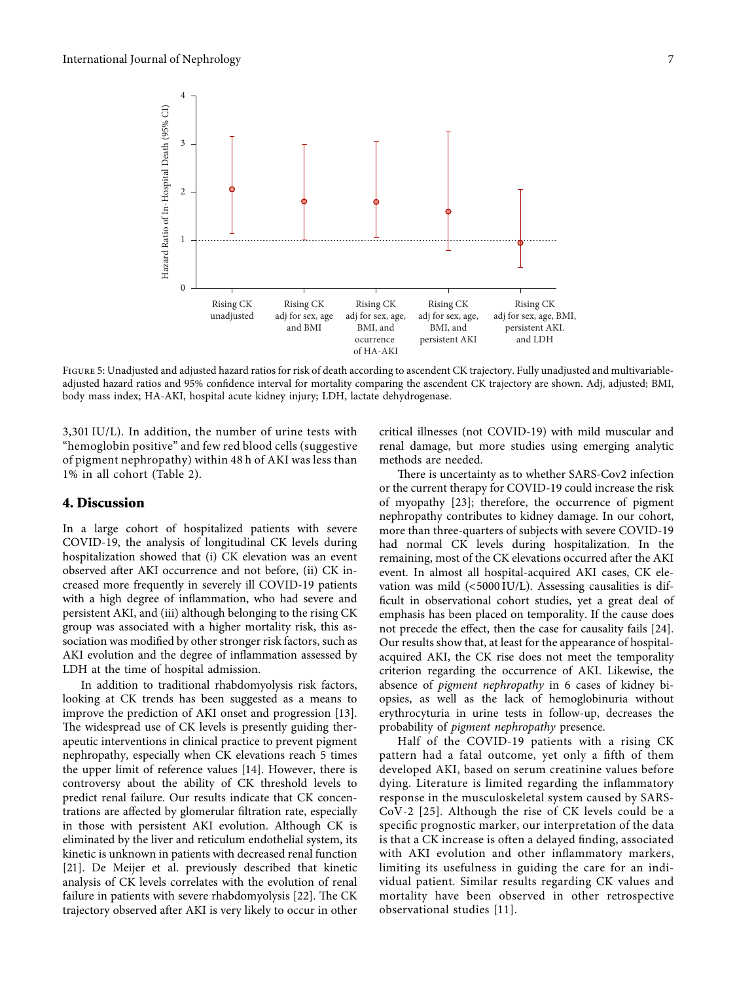<span id="page-6-0"></span>

Figure 5: Unadjusted and adjusted hazard ratios for risk of death according to ascendent CK trajectory. Fully unadjusted and multivariableadjusted hazard ratios and 95% confidence interval for mortality comparing the ascendent CK trajectory are shown. Adj, adjusted; BMI, body mass index; HA-AKI, hospital acute kidney injury; LDH, lactate dehydrogenase.

3,301 IU/L). In addition, the number of urine tests with "hemoglobin positive" and few red blood cells (suggestive of pigment nephropathy) within 48 h of AKI was less than 1% in all cohort (Table [2](#page-5-0)).

#### **4. Discussion**

In a large cohort of hospitalized patients with severe COVID-19, the analysis of longitudinal CK levels during hospitalization showed that (i) CK elevation was an event observed after AKI occurrence and not before, (ii) CK increased more frequently in severely ill COVID-19 patients with a high degree of inflammation, who had severe and persistent AKI, and (iii) although belonging to the rising CK group was associated with a higher mortality risk, this association was modified by other stronger risk factors, such as AKI evolution and the degree of inflammation assessed by LDH at the time of hospital admission.

In addition to traditional rhabdomyolysis risk factors, looking at CK trends has been suggested as a means to improve the prediction of AKI onset and progression [\[13](#page-8-0)]. The widespread use of CK levels is presently guiding therapeutic interventions in clinical practice to prevent pigment nephropathy, especially when CK elevations reach 5 times the upper limit of reference values [\[14](#page-8-0)]. However, there is controversy about the ability of CK threshold levels to predict renal failure. Our results indicate that CK concentrations are affected by glomerular filtration rate, especially in those with persistent AKI evolution. Although CK is eliminated by the liver and reticulum endothelial system, its kinetic is unknown in patients with decreased renal function [\[21](#page-8-0)]. De Meijer et al. previously described that kinetic analysis of CK levels correlates with the evolution of renal failure in patients with severe rhabdomyolysis [\[22\]](#page-8-0). The CK trajectory observed after AKI is very likely to occur in other

critical illnesses (not COVID-19) with mild muscular and renal damage, but more studies using emerging analytic methods are needed.

There is uncertainty as to whether SARS-Cov2 infection or the current therapy for COVID-19 could increase the risk of myopathy [\[23\]](#page-8-0); therefore, the occurrence of pigment nephropathy contributes to kidney damage. In our cohort, more than three-quarters of subjects with severe COVID-19 had normal CK levels during hospitalization. In the remaining, most of the CK elevations occurred after the AKI event. In almost all hospital-acquired AKI cases, CK elevation was mild (<5000 IU/L). Assessing causalities is difficult in observational cohort studies, yet a great deal of emphasis has been placed on temporality. If the cause does not precede the effect, then the case for causality fails [[24](#page-8-0)]. Our results show that, at least for the appearance of hospitalacquired AKI, the CK rise does not meet the temporality criterion regarding the occurrence of AKI. Likewise, the absence of *pigment nephropathy* in 6 cases of kidney biopsies, as well as the lack of hemoglobinuria without erythrocyturia in urine tests in follow-up, decreases the probability of *pigment nephropathy* presence.

Half of the COVID-19 patients with a rising CK pattern had a fatal outcome, yet only a fifth of them developed AKI, based on serum creatinine values before dying. Literature is limited regarding the inflammatory response in the musculoskeletal system caused by SARS-CoV-2 [[25\]](#page-8-0). Although the rise of CK levels could be a specific prognostic marker, our interpretation of the data is that a CK increase is often a delayed finding, associated with AKI evolution and other inflammatory markers, limiting its usefulness in guiding the care for an individual patient. Similar results regarding CK values and mortality have been observed in other retrospective observational studies [[11\]](#page-7-0).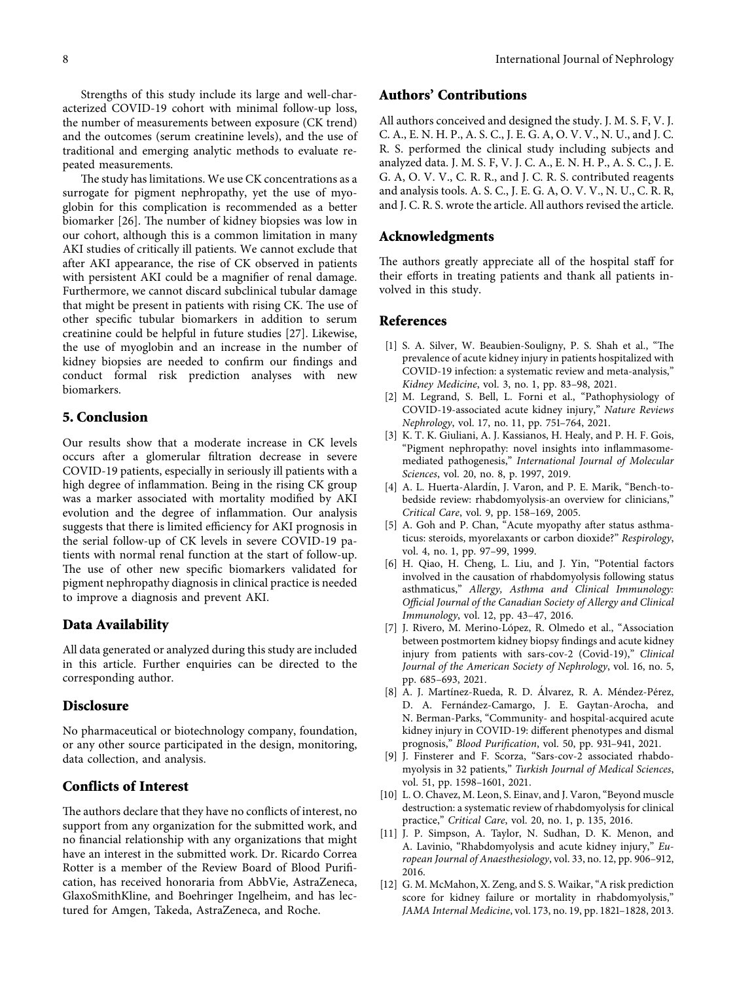<span id="page-7-0"></span>Strengths of this study include its large and well-characterized COVID-19 cohort with minimal follow-up loss, the number of measurements between exposure (CK trend) and the outcomes (serum creatinine levels), and the use of traditional and emerging analytic methods to evaluate repeated measurements.

The study has limitations. We use CK concentrations as a surrogate for pigment nephropathy, yet the use of myoglobin for this complication is recommended as a better biomarker [\[26\]](#page-8-0). The number of kidney biopsies was low in our cohort, although this is a common limitation in many AKI studies of critically ill patients. We cannot exclude that after AKI appearance, the rise of CK observed in patients with persistent AKI could be a magnifier of renal damage. Furthermore, we cannot discard subclinical tubular damage that might be present in patients with rising CK. The use of other specific tubular biomarkers in addition to serum creatinine could be helpful in future studies [[27](#page-8-0)]. Likewise, the use of myoglobin and an increase in the number of kidney biopsies are needed to confirm our findings and conduct formal risk prediction analyses with new biomarkers.

#### **5. Conclusion**

Our results show that a moderate increase in CK levels occurs after a glomerular filtration decrease in severe COVID-19 patients, especially in seriously ill patients with a high degree of inflammation. Being in the rising CK group was a marker associated with mortality modified by AKI evolution and the degree of inflammation. Our analysis suggests that there is limited efficiency for AKI prognosis in the serial follow-up of CK levels in severe COVID-19 patients with normal renal function at the start of follow-up. The use of other new specific biomarkers validated for pigment nephropathy diagnosis in clinical practice is needed to improve a diagnosis and prevent AKI.

### **Data Availability**

All data generated or analyzed during this study are included in this article. Further enquiries can be directed to the corresponding author.

#### **Disclosure**

No pharmaceutical or biotechnology company, foundation, or any other source participated in the design, monitoring, data collection, and analysis.

### **Conflicts of Interest**

The authors declare that they have no conflicts of interest, no support from any organization for the submitted work, and no financial relationship with any organizations that might have an interest in the submitted work. Dr. Ricardo Correa Rotter is a member of the Review Board of Blood Purification, has received honoraria from AbbVie, AstraZeneca, GlaxoSmithKline, and Boehringer Ingelheim, and has lectured for Amgen, Takeda, AstraZeneca, and Roche.

# **Authors' Contributions**

All authors conceived and designed the study. J. M. S. F, V. J. C. A., E. N. H. P., A. S. C., J. E. G. A, O. V. V., N. U., and J. C. R. S. performed the clinical study including subjects and analyzed data. J. M. S. F, V. J. C. A., E. N. H. P., A. S. C., J. E. G. A, O. V. V., C. R. R., and J. C. R. S. contributed reagents and analysis tools. A. S. C., J. E. G. A, O. V. V., N. U., C. R. R, and J. C. R. S. wrote the article. All authors revised the article.

### **Acknowledgments**

The authors greatly appreciate all of the hospital staff for their efforts in treating patients and thank all patients involved in this study.

#### **References**

- [1] S. A. Silver, W. Beaubien-Souligny, P. S. Shah et al., "The prevalence of acute kidney injury in patients hospitalized with COVID-19 infection: a systematic review and meta-analysis," *Kidney Medicine*, vol. 3, no. 1, pp. 83–98, 2021.
- [2] M. Legrand, S. Bell, L. Forni et al., "Pathophysiology of COVID-19-associated acute kidney injury," *Nature Reviews Nephrology*, vol. 17, no. 11, pp. 751–764, 2021.
- [3] K. T. K. Giuliani, A. J. Kassianos, H. Healy, and P. H. F. Gois, "Pigment nephropathy: novel insights into inflammasomemediated pathogenesis," *International Journal of Molecular Sciences*, vol. 20, no. 8, p. 1997, 2019.
- [4] A. L. Huerta-Alardín, J. Varon, and P. E. Marik, "Bench-tobedside review: rhabdomyolysis-an overview for clinicians," *Critical Care*, vol. 9, pp. 158–169, 2005.
- [5] A. Goh and P. Chan, "Acute myopathy after status asthmaticus: steroids, myorelaxants or carbon dioxide?" *Respirology*, vol. 4, no. 1, pp. 97–99, 1999.
- [6] H. Qiao, H. Cheng, L. Liu, and J. Yin, "Potential factors involved in the causation of rhabdomyolysis following status asthmaticus," *Allergy, Asthma and Clinical Immunology: Official Journal of the Canadian Society of Allergy and Clinical Immunology*, vol. 12, pp. 43–47, 2016.
- [7] J. Rivero, M. Merino-López, R. Olmedo et al., "Association between postmortem kidney biopsy findings and acute kidney injury from patients with sars-cov-2 (Covid-19)," *Clinical Journal of the American Society of Nephrology*, vol. 16, no. 5, pp. 685–693, 2021.
- [8] A. J. Martínez-Rueda, R. D. Álvarez, R. A. Méndez-Pérez, D. A. Fernández-Camargo, J. E. Gaytan-Arocha, and N. Berman-Parks, "Community- and hospital-acquired acute kidney injury in COVID-19: different phenotypes and dismal prognosis," *Blood Purification*, vol. 50, pp. 931–941, 2021.
- [9] J. Finsterer and F. Scorza, "Sars-cov-2 associated rhabdomyolysis in 32 patients," *Turkish Journal of Medical Sciences*, vol. 51, pp. 1598–1601, 2021.
- [10] L. O. Chavez, M. Leon, S. Einav, and J. Varon, "Beyond muscle destruction: a systematic review of rhabdomyolysis for clinical practice," *Critical Care*, vol. 20, no. 1, p. 135, 2016.
- [11] J. P. Simpson, A. Taylor, N. Sudhan, D. K. Menon, and A. Lavinio, "Rhabdomyolysis and acute kidney injury," *European Journal of Anaesthesiology*, vol. 33, no. 12, pp. 906–912, 2016.
- [12] G. M. McMahon, X. Zeng, and S. S. Waikar, "A risk prediction score for kidney failure or mortality in rhabdomyolysis," *JAMA Internal Medicine*, vol. 173, no. 19, pp. 1821–1828, 2013.